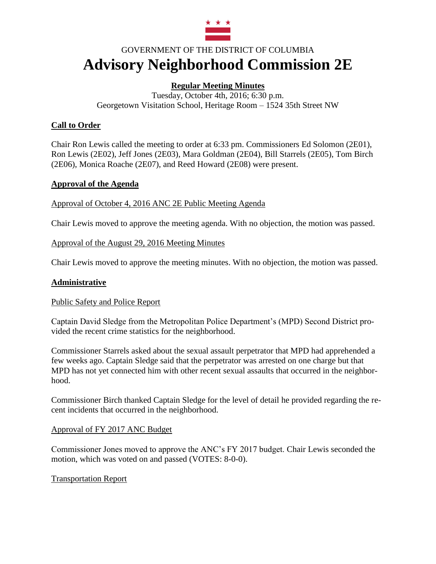

# GOVERNMENT OF THE DISTRICT OF COLUMBIA **Advisory Neighborhood Commission 2E**

## **Regular Meeting Minutes**

Tuesday, October 4th, 2016; 6:30 p.m. Georgetown Visitation School, Heritage Room – 1524 35th Street NW

## **Call to Order**

Chair Ron Lewis called the meeting to order at 6:33 pm. Commissioners Ed Solomon (2E01), Ron Lewis (2E02), Jeff Jones (2E03), Mara Goldman (2E04), Bill Starrels (2E05), Tom Birch (2E06), Monica Roache (2E07), and Reed Howard (2E08) were present.

## **Approval of the Agenda**

Approval of October 4, 2016 ANC 2E Public Meeting Agenda

Chair Lewis moved to approve the meeting agenda. With no objection, the motion was passed.

## Approval of the August 29, 2016 Meeting Minutes

Chair Lewis moved to approve the meeting minutes. With no objection, the motion was passed.

#### **Administrative**

#### Public Safety and Police Report

Captain David Sledge from the Metropolitan Police Department's (MPD) Second District provided the recent crime statistics for the neighborhood.

Commissioner Starrels asked about the sexual assault perpetrator that MPD had apprehended a few weeks ago. Captain Sledge said that the perpetrator was arrested on one charge but that MPD has not yet connected him with other recent sexual assaults that occurred in the neighborhood.

Commissioner Birch thanked Captain Sledge for the level of detail he provided regarding the recent incidents that occurred in the neighborhood.

#### Approval of FY 2017 ANC Budget

Commissioner Jones moved to approve the ANC's FY 2017 budget. Chair Lewis seconded the motion, which was voted on and passed (VOTES: 8-0-0).

#### Transportation Report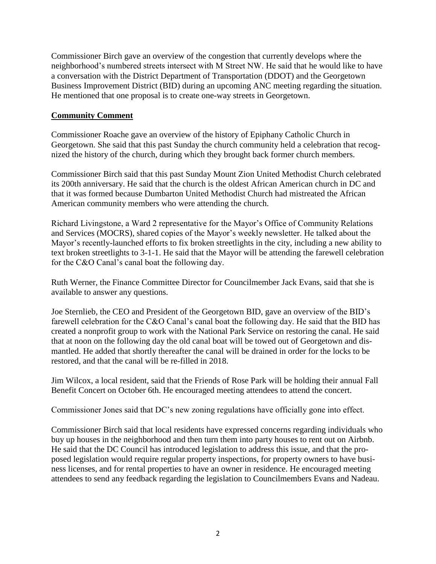Commissioner Birch gave an overview of the congestion that currently develops where the neighborhood's numbered streets intersect with M Street NW. He said that he would like to have a conversation with the District Department of Transportation (DDOT) and the Georgetown Business Improvement District (BID) during an upcoming ANC meeting regarding the situation. He mentioned that one proposal is to create one-way streets in Georgetown.

## **Community Comment**

Commissioner Roache gave an overview of the history of Epiphany Catholic Church in Georgetown. She said that this past Sunday the church community held a celebration that recognized the history of the church, during which they brought back former church members.

Commissioner Birch said that this past Sunday Mount Zion United Methodist Church celebrated its 200th anniversary. He said that the church is the oldest African American church in DC and that it was formed because Dumbarton United Methodist Church had mistreated the African American community members who were attending the church.

Richard Livingstone, a Ward 2 representative for the Mayor's Office of Community Relations and Services (MOCRS), shared copies of the Mayor's weekly newsletter. He talked about the Mayor's recently-launched efforts to fix broken streetlights in the city, including a new ability to text broken streetlights to 3-1-1. He said that the Mayor will be attending the farewell celebration for the C&O Canal's canal boat the following day.

Ruth Werner, the Finance Committee Director for Councilmember Jack Evans, said that she is available to answer any questions.

Joe Sternlieb, the CEO and President of the Georgetown BID, gave an overview of the BID's farewell celebration for the C&O Canal's canal boat the following day. He said that the BID has created a nonprofit group to work with the National Park Service on restoring the canal. He said that at noon on the following day the old canal boat will be towed out of Georgetown and dismantled. He added that shortly thereafter the canal will be drained in order for the locks to be restored, and that the canal will be re-filled in 2018.

Jim Wilcox, a local resident, said that the Friends of Rose Park will be holding their annual Fall Benefit Concert on October 6th. He encouraged meeting attendees to attend the concert.

Commissioner Jones said that DC's new zoning regulations have officially gone into effect.

Commissioner Birch said that local residents have expressed concerns regarding individuals who buy up houses in the neighborhood and then turn them into party houses to rent out on Airbnb. He said that the DC Council has introduced legislation to address this issue, and that the proposed legislation would require regular property inspections, for property owners to have business licenses, and for rental properties to have an owner in residence. He encouraged meeting attendees to send any feedback regarding the legislation to Councilmembers Evans and Nadeau.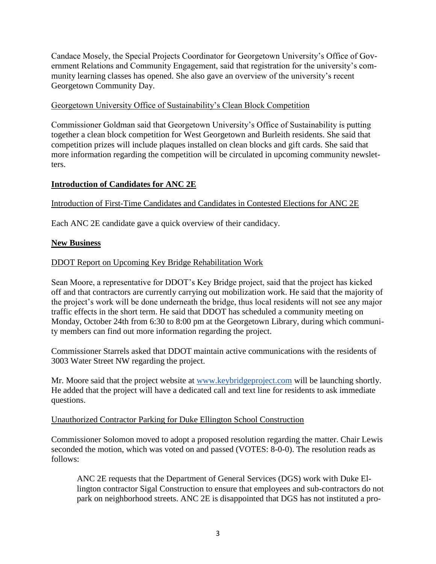Candace Mosely, the Special Projects Coordinator for Georgetown University's Office of Government Relations and Community Engagement, said that registration for the university's community learning classes has opened. She also gave an overview of the university's recent Georgetown Community Day.

## Georgetown University Office of Sustainability's Clean Block Competition

Commissioner Goldman said that Georgetown University's Office of Sustainability is putting together a clean block competition for West Georgetown and Burleith residents. She said that competition prizes will include plaques installed on clean blocks and gift cards. She said that more information regarding the competition will be circulated in upcoming community newsletters.

## **Introduction of Candidates for ANC 2E**

## Introduction of First-Time Candidates and Candidates in Contested Elections for ANC 2E

Each ANC 2E candidate gave a quick overview of their candidacy.

#### **New Business**

#### DDOT Report on Upcoming Key Bridge Rehabilitation Work

Sean Moore, a representative for DDOT's Key Bridge project, said that the project has kicked off and that contractors are currently carrying out mobilization work. He said that the majority of the project's work will be done underneath the bridge, thus local residents will not see any major traffic effects in the short term. He said that DDOT has scheduled a community meeting on Monday, October 24th from 6:30 to 8:00 pm at the Georgetown Library, during which community members can find out more information regarding the project.

Commissioner Starrels asked that DDOT maintain active communications with the residents of 3003 Water Street NW regarding the project.

Mr. Moore said that the project website at [www.keybridgeproject.com](http://www.keybridgeproject.com/) will be launching shortly. He added that the project will have a dedicated call and text line for residents to ask immediate questions.

#### Unauthorized Contractor Parking for Duke Ellington School Construction

Commissioner Solomon moved to adopt a proposed resolution regarding the matter. Chair Lewis seconded the motion, which was voted on and passed (VOTES: 8-0-0). The resolution reads as follows:

ANC 2E requests that the Department of General Services (DGS) work with Duke Ellington contractor Sigal Construction to ensure that employees and sub-contractors do not park on neighborhood streets. ANC 2E is disappointed that DGS has not instituted a pro-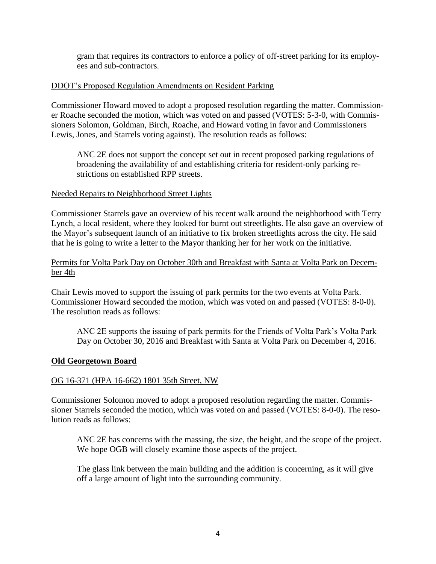gram that requires its contractors to enforce a policy of off-street parking for its employees and sub-contractors.

## DDOT's Proposed Regulation Amendments on Resident Parking

Commissioner Howard moved to adopt a proposed resolution regarding the matter. Commissioner Roache seconded the motion, which was voted on and passed (VOTES: 5-3-0, with Commissioners Solomon, Goldman, Birch, Roache, and Howard voting in favor and Commissioners Lewis, Jones, and Starrels voting against). The resolution reads as follows:

ANC 2E does not support the concept set out in recent proposed parking regulations of broadening the availability of and establishing criteria for resident-only parking restrictions on established RPP streets.

## Needed Repairs to Neighborhood Street Lights

Commissioner Starrels gave an overview of his recent walk around the neighborhood with Terry Lynch, a local resident, where they looked for burnt out streetlights. He also gave an overview of the Mayor's subsequent launch of an initiative to fix broken streetlights across the city. He said that he is going to write a letter to the Mayor thanking her for her work on the initiative.

#### Permits for Volta Park Day on October 30th and Breakfast with Santa at Volta Park on December 4th

Chair Lewis moved to support the issuing of park permits for the two events at Volta Park. Commissioner Howard seconded the motion, which was voted on and passed (VOTES: 8-0-0). The resolution reads as follows:

ANC 2E supports the issuing of park permits for the Friends of Volta Park's Volta Park Day on October 30, 2016 and Breakfast with Santa at Volta Park on December 4, 2016.

#### **Old Georgetown Board**

#### OG 16-371 (HPA 16-662) 1801 35th Street, NW

Commissioner Solomon moved to adopt a proposed resolution regarding the matter. Commissioner Starrels seconded the motion, which was voted on and passed (VOTES: 8-0-0). The resolution reads as follows:

ANC 2E has concerns with the massing, the size, the height, and the scope of the project. We hope OGB will closely examine those aspects of the project.

The glass link between the main building and the addition is concerning, as it will give off a large amount of light into the surrounding community.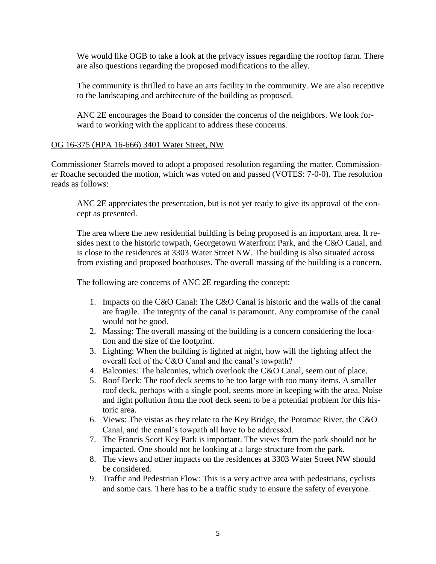We would like OGB to take a look at the privacy issues regarding the rooftop farm. There are also questions regarding the proposed modifications to the alley.

The community is thrilled to have an arts facility in the community. We are also receptive to the landscaping and architecture of the building as proposed.

ANC 2E encourages the Board to consider the concerns of the neighbors. We look forward to working with the applicant to address these concerns.

## OG 16-375 (HPA 16-666) 3401 Water Street, NW

Commissioner Starrels moved to adopt a proposed resolution regarding the matter. Commissioner Roache seconded the motion, which was voted on and passed (VOTES: 7-0-0). The resolution reads as follows:

ANC 2E appreciates the presentation, but is not yet ready to give its approval of the concept as presented.

The area where the new residential building is being proposed is an important area. It resides next to the historic towpath, Georgetown Waterfront Park, and the C&O Canal, and is close to the residences at 3303 Water Street NW. The building is also situated across from existing and proposed boathouses. The overall massing of the building is a concern.

The following are concerns of ANC 2E regarding the concept:

- 1. Impacts on the C&O Canal: The C&O Canal is historic and the walls of the canal are fragile. The integrity of the canal is paramount. Any compromise of the canal would not be good.
- 2. Massing: The overall massing of the building is a concern considering the location and the size of the footprint.
- 3. Lighting: When the building is lighted at night, how will the lighting affect the overall feel of the C&O Canal and the canal's towpath?
- 4. Balconies: The balconies, which overlook the C&O Canal, seem out of place.
- 5. Roof Deck: The roof deck seems to be too large with too many items. A smaller roof deck, perhaps with a single pool, seems more in keeping with the area. Noise and light pollution from the roof deck seem to be a potential problem for this historic area.
- 6. Views: The vistas as they relate to the Key Bridge, the Potomac River, the C&O Canal, and the canal's towpath all have to be addressed.
- 7. The Francis Scott Key Park is important. The views from the park should not be impacted. One should not be looking at a large structure from the park.
- 8. The views and other impacts on the residences at 3303 Water Street NW should be considered.
- 9. Traffic and Pedestrian Flow: This is a very active area with pedestrians, cyclists and some cars. There has to be a traffic study to ensure the safety of everyone.